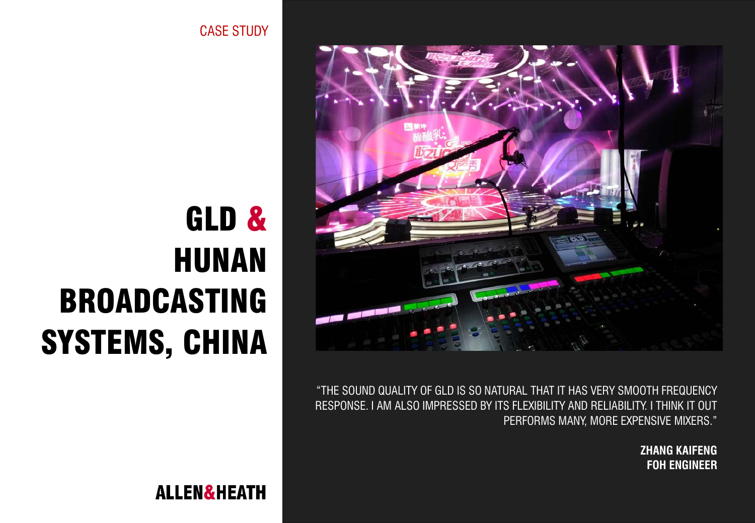CASE STUDY





"THE SOUND QUALITY OF GLD IS SO NATURAL THAT IT HAS VERY SMOOTH FREQUENCY RESPONSE. I AM ALSO IMPRESSED BY ITS FLEXIBILITY AND RELIABILITY. I THINK IT OUT PERFORMS MANY, MORE EXPENSIVE MIXERS."

> **ZHANG KAIFENG FOH ENGINEER**

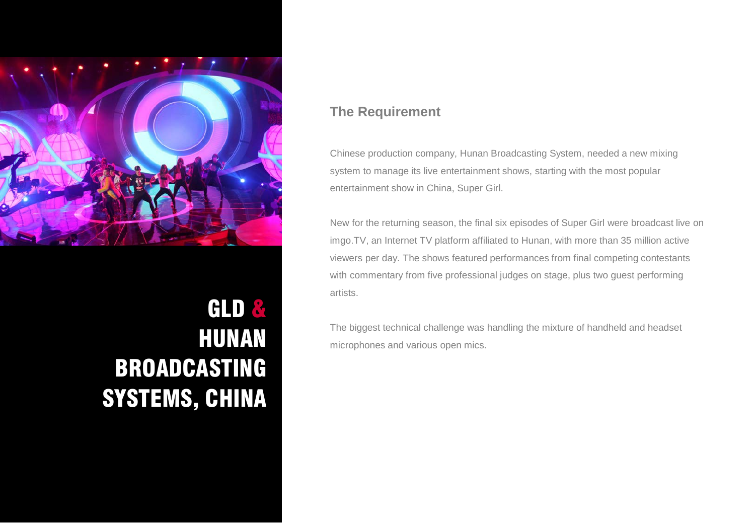

## GLD & HUNAN BROADCASTING SYSTEMS, CHINA

## **The Requirement**

Chinese production company, Hunan Broadcasting System, needed a new mixing system to manage its live entertainment shows, starting with the most popular entertainment show in China, Super Girl.

New for the returning season, the final six episodes of Super Girl were broadcast live on imgo.TV, an Internet TV platform affiliated to Hunan, with more than 35 million active viewers per day. The shows featured performances from final competing contestants with commentary from five professional judges on stage, plus two guest performing artists.

The biggest technical challenge was handling the mixture of handheld and headset microphones and various open mics.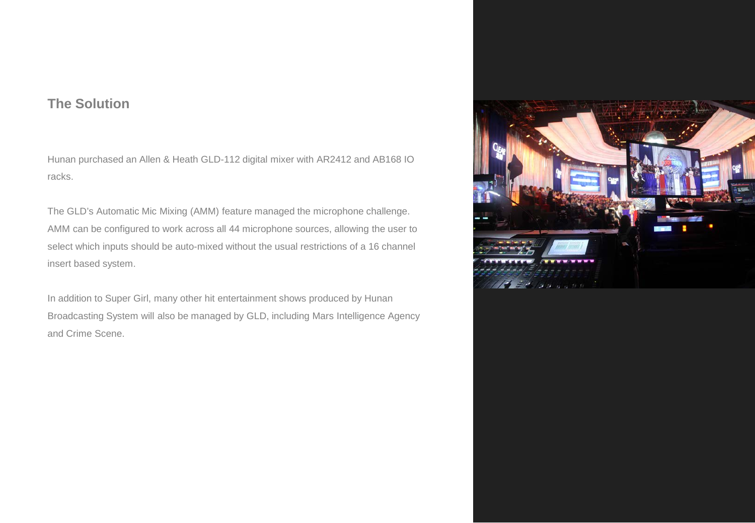## **The Solution**

Hunan purchased an Allen & Heath GLD-112 digital mixer with AR2412 and AB168 IO racks.

The GLD's Automatic Mic Mixing (AMM) feature managed the microphone challenge. AMM can be configured to work across all 44 microphone sources, allowing the user to select which inputs should be auto-mixed without the usual restrictions of a 16 channel insert based system.

In addition to Super Girl, many other hit entertainment shows produced by Hunan Broadcasting System will also be managed by GLD, including Mars Intelligence Agency and Crime Scene.